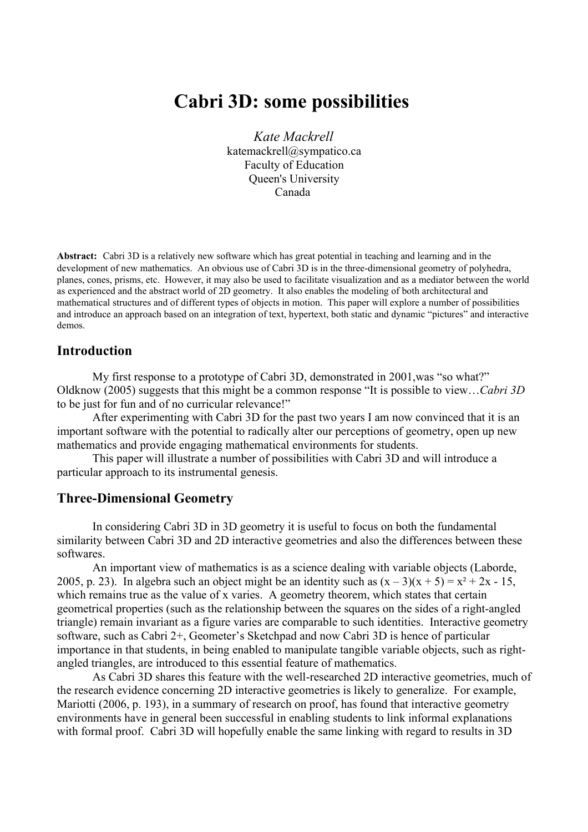# **Cabri 3D: some possibilities**

*Kate Mackrell* [katemackrell@sympatico.ca](mailto:katemackrell@sympatico.ca) Faculty of Education Queen's University Canada

**Abstract:** Cabri 3D is a relatively new software which has great potential in teaching and learning and in the development of new mathematics. An obvious use of Cabri 3D is in the three-dimensional geometry of polyhedra, planes, cones, prisms, etc. However, it may also be used to facilitate visualization and as a mediator between the world as experienced and the abstract world of 2D geometry. It also enables the modeling of both architectural and mathematical structures and of different types of objects in motion. This paper will explore a number of possibilities and introduce an approach based on an integration of text, hypertext, both static and dynamic "pictures" and interactive demos.

### **Introduction**

My first response to a prototype of Cabri 3D, demonstrated in 2001,was "so what?" Oldknow (2005) suggests that this might be a common response "It is possible to view…*Cabri 3D* to be just for fun and of no curricular relevance!"

After experimenting with Cabri 3D for the past two years I am now convinced that it is an important software with the potential to radically alter our perceptions of geometry, open up new mathematics and provide engaging mathematical environments for students.

This paper will illustrate a number of possibilities with Cabri 3D and will introduce a particular approach to its instrumental genesis.

## **Three-Dimensional Geometry**

In considering Cabri 3D in 3D geometry it is useful to focus on both the fundamental similarity between Cabri 3D and 2D interactive geometries and also the differences between these softwares.

An important view of mathematics is as a science dealing with variable objects (Laborde, 2005, p. 23). In algebra such an object might be an identity such as  $(x - 3)(x + 5) = x^2 + 2x - 15$ , which remains true as the value of x varies. A geometry theorem, which states that certain geometrical properties (such as the relationship between the squares on the sides of a right-angled triangle) remain invariant as a figure varies are comparable to such identities. Interactive geometry software, such as Cabri 2+, Geometer's Sketchpad and now Cabri 3D is hence of particular importance in that students, in being enabled to manipulate tangible variable objects, such as rightangled triangles, are introduced to this essential feature of mathematics.

As Cabri 3D shares this feature with the well-researched 2D interactive geometries, much of the research evidence concerning 2D interactive geometries is likely to generalize. For example, Mariotti (2006, p. 193), in a summary of research on proof, has found that interactive geometry environments have in general been successful in enabling students to link informal explanations with formal proof. Cabri 3D will hopefully enable the same linking with regard to results in 3D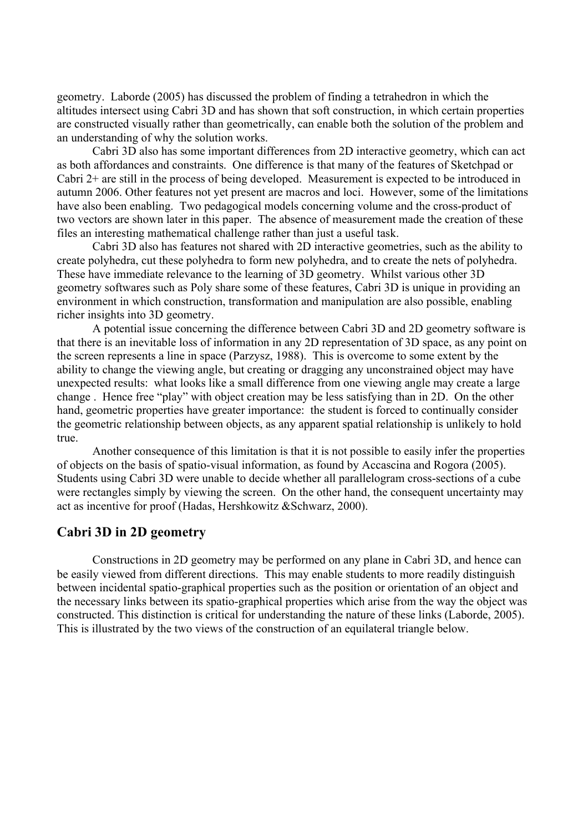geometry. Laborde (2005) has discussed the problem of finding a tetrahedron in which the altitudes intersect using Cabri 3D and has shown that soft construction, in which certain properties are constructed visually rather than geometrically, can enable both the solution of the problem and an understanding of why the solution works.

Cabri 3D also has some important differences from 2D interactive geometry, which can act as both affordances and constraints. One difference is that many of the features of Sketchpad or Cabri 2+ are still in the process of being developed. Measurement is expected to be introduced in autumn 2006. Other features not yet present are macros and loci. However, some of the limitations have also been enabling. Two pedagogical models concerning volume and the cross-product of two vectors are shown later in this paper. The absence of measurement made the creation of these files an interesting mathematical challenge rather than just a useful task.

Cabri 3D also has features not shared with 2D interactive geometries, such as the ability to create polyhedra, cut these polyhedra to form new polyhedra, and to create the nets of polyhedra. These have immediate relevance to the learning of 3D geometry. Whilst various other 3D geometry softwares such as Poly share some of these features, Cabri 3D is unique in providing an environment in which construction, transformation and manipulation are also possible, enabling richer insights into 3D geometry.

A potential issue concerning the difference between Cabri 3D and 2D geometry software is that there is an inevitable loss of information in any 2D representation of 3D space, as any point on the screen represents a line in space (Parzysz, 1988). This is overcome to some extent by the ability to change the viewing angle, but creating or dragging any unconstrained object may have unexpected results: what looks like a small difference from one viewing angle may create a large change . Hence free "play" with object creation may be less satisfying than in 2D. On the other hand, geometric properties have greater importance: the student is forced to continually consider the geometric relationship between objects, as any apparent spatial relationship is unlikely to hold true.

Another consequence of this limitation is that it is not possible to easily infer the properties of objects on the basis of spatio-visual information, as found by Accascina and Rogora (2005). Students using Cabri 3D were unable to decide whether all parallelogram cross-sections of a cube were rectangles simply by viewing the screen. On the other hand, the consequent uncertainty may act as incentive for proof (Hadas, Hershkowitz &Schwarz, 2000).

### **Cabri 3D in 2D geometry**

Constructions in 2D geometry may be performed on any plane in Cabri 3D, and hence can be easily viewed from different directions. This may enable students to more readily distinguish between incidental spatio-graphical properties such as the position or orientation of an object and the necessary links between its spatio-graphical properties which arise from the way the object was constructed. This distinction is critical for understanding the nature of these links (Laborde, 2005). This is illustrated by the two views of the construction of an equilateral triangle below.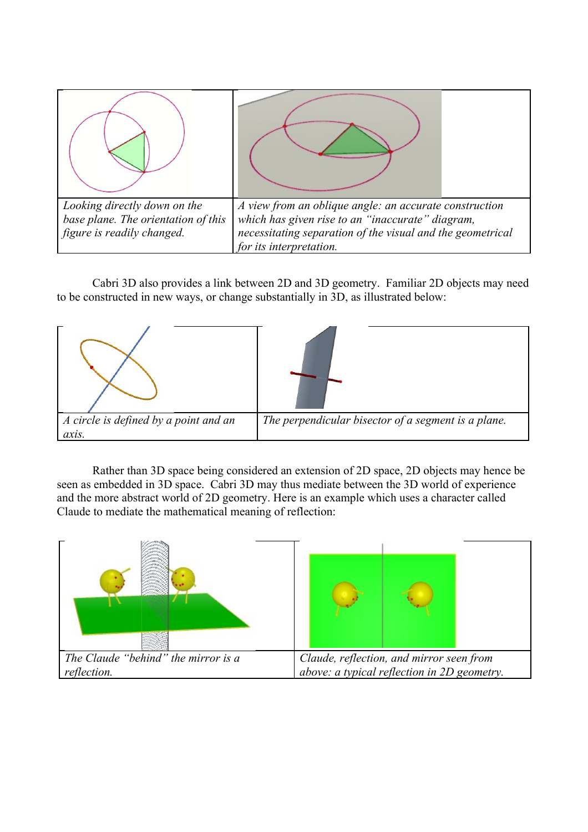

Cabri 3D also provides a link between 2D and 3D geometry. Familiar 2D objects may need to be constructed in new ways, or change substantially in 3D, as illustrated below:



Rather than 3D space being considered an extension of 2D space, 2D objects may hence be seen as embedded in 3D space. Cabri 3D may thus mediate between the 3D world of experience and the more abstract world of 2D geometry. Here is an example which uses a character called Claude to mediate the mathematical meaning of reflection:

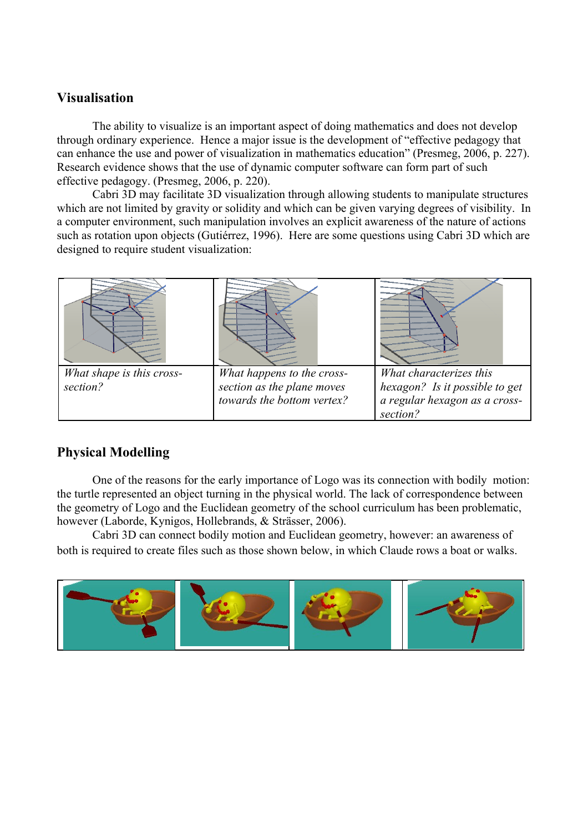# **Visualisation**

The ability to visualize is an important aspect of doing mathematics and does not develop through ordinary experience. Hence a major issue is the development of "effective pedagogy that can enhance the use and power of visualization in mathematics education" (Presmeg, 2006, p. 227). Research evidence shows that the use of dynamic computer software can form part of such effective pedagogy. (Presmeg, 2006, p. 220).

Cabri 3D may facilitate 3D visualization through allowing students to manipulate structures which are not limited by gravity or solidity and which can be given varying degrees of visibility. In a computer environment, such manipulation involves an explicit awareness of the nature of actions such as rotation upon objects (Gutiérrez, 1996). Here are some questions using Cabri 3D which are designed to require student visualization:

| What shape is this cross- | What happens to the cross- | What characterizes this        |
|---------------------------|----------------------------|--------------------------------|
| section?                  | section as the plane moves | hexagon? Is it possible to get |
|                           | towards the bottom vertex? | a regular hexagon as a cross-  |
|                           |                            | section?                       |

# **Physical Modelling**

One of the reasons for the early importance of Logo was its connection with bodily motion: the turtle represented an object turning in the physical world. The lack of correspondence between the geometry of Logo and the Euclidean geometry of the school curriculum has been problematic, however (Laborde, Kynigos, Hollebrands, & Strässer, 2006).

Cabri 3D can connect bodily motion and Euclidean geometry, however: an awareness of both is required to create files such as those shown below, in which Claude rows a boat or walks.

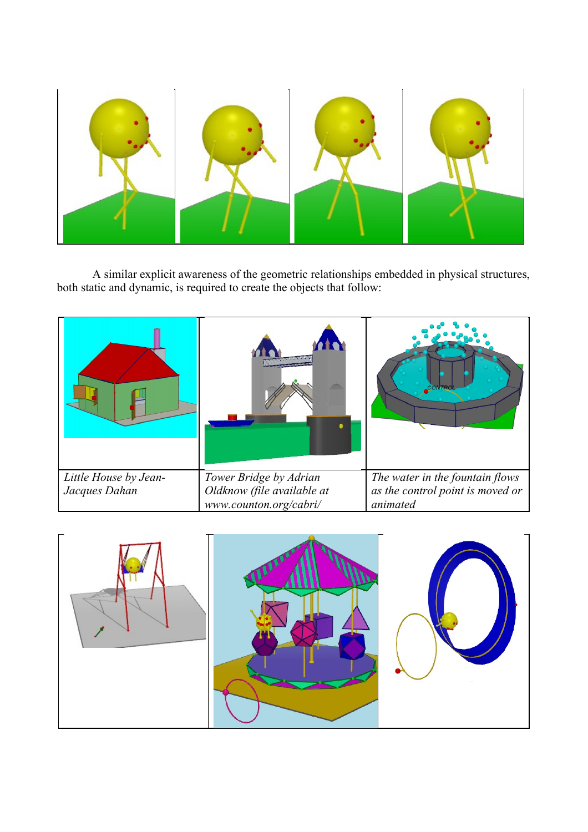

A similar explicit awareness of the geometric relationships embedded in physical structures, both static and dynamic, is required to create the objects that follow:

|                       |                            | CONTRO                           |
|-----------------------|----------------------------|----------------------------------|
| Little House by Jean- | Tower Bridge by Adrian     | The water in the fountain flows  |
| Jacques Dahan         | Oldknow (file available at | as the control point is moved or |
|                       | www.counton.org/cabri/     | animated                         |

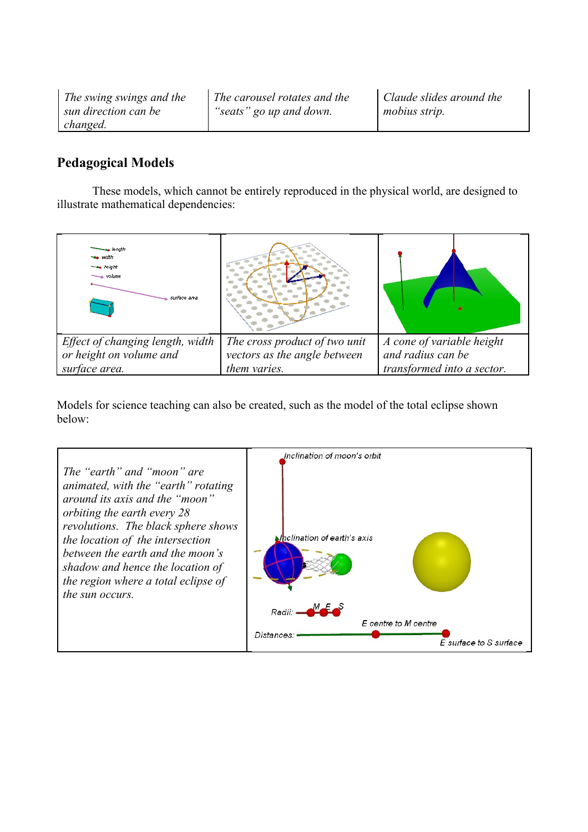*The swing swings and the sun direction can be changed.* 

*The carousel rotates and the "seats" go up and down.*

# **Pedagogical Models**

These models, which cannot be entirely reproduced in the physical world, are designed to illustrate mathematical dependencies:

| <del>⊲a</del> lenath<br>se width<br><b>The height</b><br>while<br>surface area |                               |                            |
|--------------------------------------------------------------------------------|-------------------------------|----------------------------|
| Effect of changing length, width                                               | The cross product of two unit | A cone of variable height  |
| or height on volume and                                                        | vectors as the angle between  | and radius can be          |
| surface area.                                                                  | them varies.                  | transformed into a sector. |

Models for science teaching can also be created, such as the model of the total eclipse shown below:

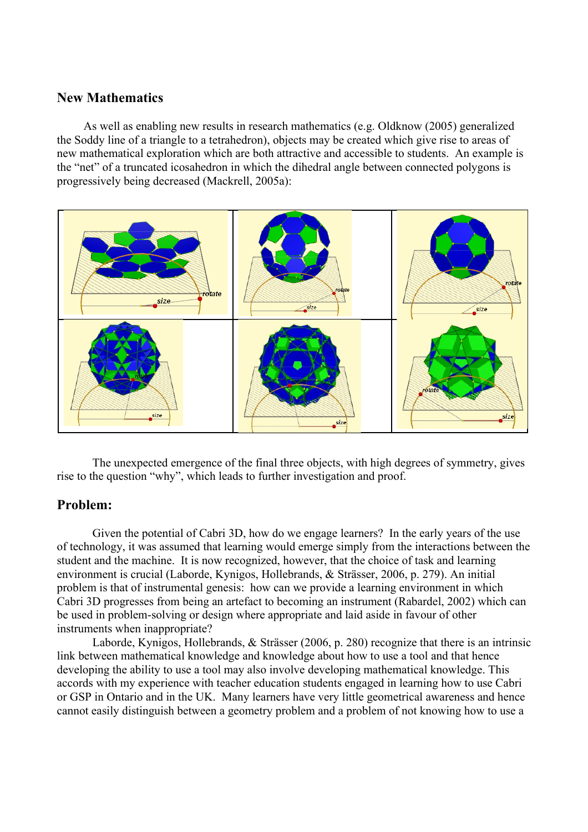### **New Mathematics**

As well as enabling new results in research mathematics (e.g. Oldknow (2005) generalized the Soddy line of a triangle to a tetrahedron), objects may be created which give rise to areas of new mathematical exploration which are both attractive and accessible to students. An example is the "net" of a truncated icosahedron in which the dihedral angle between connected polygons is progressively being decreased (Mackrell, 2005a):



The unexpected emergence of the final three objects, with high degrees of symmetry, gives rise to the question "why", which leads to further investigation and proof.

### **Problem:**

Given the potential of Cabri 3D, how do we engage learners? In the early years of the use of technology, it was assumed that learning would emerge simply from the interactions between the student and the machine. It is now recognized, however, that the choice of task and learning environment is crucial (Laborde, Kynigos, Hollebrands, & Strässer, 2006, p. 279). An initial problem is that of instrumental genesis: how can we provide a learning environment in which Cabri 3D progresses from being an artefact to becoming an instrument (Rabardel, 2002) which can be used in problem-solving or design where appropriate and laid aside in favour of other instruments when inappropriate?

Laborde, Kynigos, Hollebrands, & Strässer (2006, p. 280) recognize that there is an intrinsic link between mathematical knowledge and knowledge about how to use a tool and that hence developing the ability to use a tool may also involve developing mathematical knowledge. This accords with my experience with teacher education students engaged in learning how to use Cabri or GSP in Ontario and in the UK. Many learners have very little geometrical awareness and hence cannot easily distinguish between a geometry problem and a problem of not knowing how to use a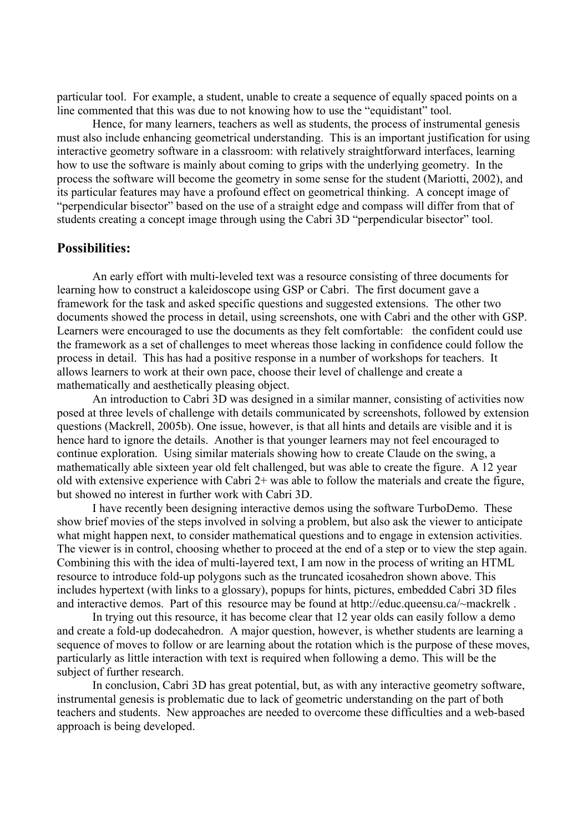particular tool. For example, a student, unable to create a sequence of equally spaced points on a line commented that this was due to not knowing how to use the "equidistant" tool.

Hence, for many learners, teachers as well as students, the process of instrumental genesis must also include enhancing geometrical understanding. This is an important justification for using interactive geometry software in a classroom: with relatively straightforward interfaces, learning how to use the software is mainly about coming to grips with the underlying geometry. In the process the software will become the geometry in some sense for the student (Mariotti, 2002), and its particular features may have a profound effect on geometrical thinking. A concept image of "perpendicular bisector" based on the use of a straight edge and compass will differ from that of students creating a concept image through using the Cabri 3D "perpendicular bisector" tool.

#### **Possibilities:**

An early effort with multi-leveled text was a resource consisting of three documents for learning how to construct a kaleidoscope using GSP or Cabri. The first document gave a framework for the task and asked specific questions and suggested extensions. The other two documents showed the process in detail, using screenshots, one with Cabri and the other with GSP. Learners were encouraged to use the documents as they felt comfortable: the confident could use the framework as a set of challenges to meet whereas those lacking in confidence could follow the process in detail. This has had a positive response in a number of workshops for teachers. It allows learners to work at their own pace, choose their level of challenge and create a mathematically and aesthetically pleasing object.

An introduction to Cabri 3D was designed in a similar manner, consisting of activities now posed at three levels of challenge with details communicated by screenshots, followed by extension questions (Mackrell, 2005b). One issue, however, is that all hints and details are visible and it is hence hard to ignore the details. Another is that younger learners may not feel encouraged to continue exploration. Using similar materials showing how to create Claude on the swing, a mathematically able sixteen year old felt challenged, but was able to create the figure. A 12 year old with extensive experience with Cabri 2+ was able to follow the materials and create the figure, but showed no interest in further work with Cabri 3D.

I have recently been designing interactive demos using the software TurboDemo. These show brief movies of the steps involved in solving a problem, but also ask the viewer to anticipate what might happen next, to consider mathematical questions and to engage in extension activities. The viewer is in control, choosing whether to proceed at the end of a step or to view the step again. Combining this with the idea of multi-layered text, I am now in the process of writing an HTML resource to introduce fold-up polygons such as the truncated icosahedron shown above. This includes hypertext (with links to a glossary), popups for hints, pictures, embedded Cabri 3D files and interactive demos. Part of this resource may be found at http://educ.queensu.ca/~mackrelk.

In trying out this resource, it has become clear that 12 year olds can easily follow a demo and create a fold-up dodecahedron. A major question, however, is whether students are learning a sequence of moves to follow or are learning about the rotation which is the purpose of these moves, particularly as little interaction with text is required when following a demo. This will be the subject of further research.

In conclusion, Cabri 3D has great potential, but, as with any interactive geometry software, instrumental genesis is problematic due to lack of geometric understanding on the part of both teachers and students. New approaches are needed to overcome these difficulties and a web-based approach is being developed.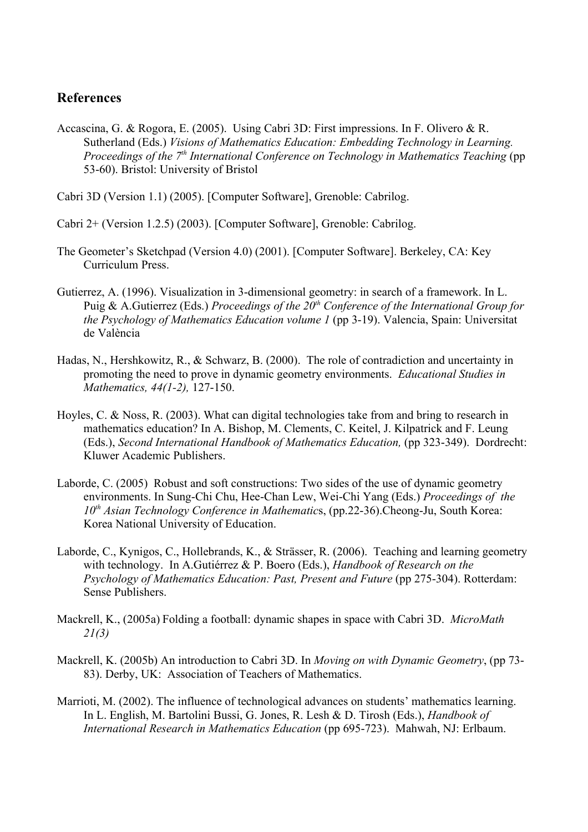## **References**

Accascina, G. & Rogora, E. (2005). Using Cabri 3D: First impressions. In F. Olivero & R. Sutherland (Eds.) *Visions of Mathematics Education: Embedding Technology in Learning.* Proceedings of the 7<sup>th</sup> International Conference on Technology in Mathematics Teaching (pp 53-60). Bristol: University of Bristol

Cabri 3D (Version 1.1) (2005). [Computer Software], Grenoble: Cabrilog.

Cabri 2+ (Version 1.2.5) (2003). [Computer Software], Grenoble: Cabrilog.

- The Geometer's Sketchpad (Version 4.0) (2001). [Computer Software]. Berkeley, CA: Key Curriculum Press.
- Gutierrez, A. (1996). Visualization in 3-dimensional geometry: in search of a framework. In L. Puig & A.Gutierrez (Eds.) *Proceedings of the 20th Conference of the International Group for the Psychology of Mathematics Education volume 1* (pp 3-19). Valencia, Spain: Universitat de València
- Hadas, N., Hershkowitz, R., & Schwarz, B. (2000). The role of contradiction and uncertainty in promoting the need to prove in dynamic geometry environments. *Educational Studies in Mathematics, 44(1-2),* 127-150.
- Hoyles, C. & Noss, R. (2003). What can digital technologies take from and bring to research in mathematics education? In A. Bishop, M. Clements, C. Keitel, J. Kilpatrick and F. Leung (Eds.), *Second International Handbook of Mathematics Education,* (pp 323-349). Dordrecht: Kluwer Academic Publishers.
- Laborde, C. (2005) Robust and soft constructions: Two sides of the use of dynamic geometry environments. In Sung-Chi Chu, Hee-Chan Lew, Wei-Chi Yang (Eds.) *Proceedings of the 10th Asian Technology Conference in Mathematic*s, (pp.22-36).Cheong-Ju, South Korea: Korea National University of Education.
- Laborde, C., Kynigos, C., Hollebrands, K., & Strässer, R. (2006). Teaching and learning geometry with technology. In A.Gutiérrez & P. Boero (Eds.), *Handbook of Research on the Psychology of Mathematics Education: Past, Present and Future* (pp 275-304). Rotterdam: Sense Publishers.
- Mackrell, K., (2005a) Folding a football: dynamic shapes in space with Cabri 3D. *MicroMath 21(3)*
- Mackrell, K. (2005b) An introduction to Cabri 3D. In *Moving on with Dynamic Geometry*, (pp 73- 83). Derby, UK: Association of Teachers of Mathematics.
- Marrioti, M. (2002). The influence of technological advances on students' mathematics learning. In L. English, M. Bartolini Bussi, G. Jones, R. Lesh & D. Tirosh (Eds.), *Handbook of International Research in Mathematics Education* (pp 695-723).Mahwah, NJ: Erlbaum.